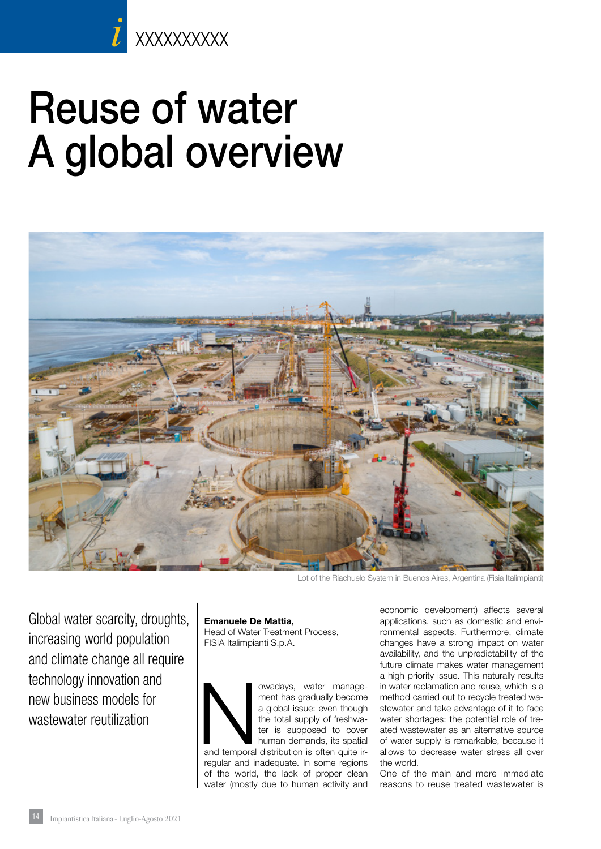# Reuse of water A global overview



Lot of the Riachuelo System in Buenos Aires, Argentina (Fisia Italimpianti)

Global water scarcity, droughts, increasing world population and climate change all require technology innovation and new business models for wastewater reutilization

#### Emanuele De Mattia,

Head of Water Treatment Process, FISIA Italimpianti S.p.A.



regular and inadequate. In some regions of the world, the lack of proper clean water (mostly due to human activity and

economic development) affects several applications, such as domestic and environmental aspects. Furthermore, climate changes have a strong impact on water availability, and the unpredictability of the future climate makes water management a high priority issue. This naturally results in water reclamation and reuse, which is a method carried out to recycle treated wastewater and take advantage of it to face water shortages: the potential role of treated wastewater as an alternative source of water supply is remarkable, because it allows to decrease water stress all over the world.

One of the main and more immediate reasons to reuse treated wastewater is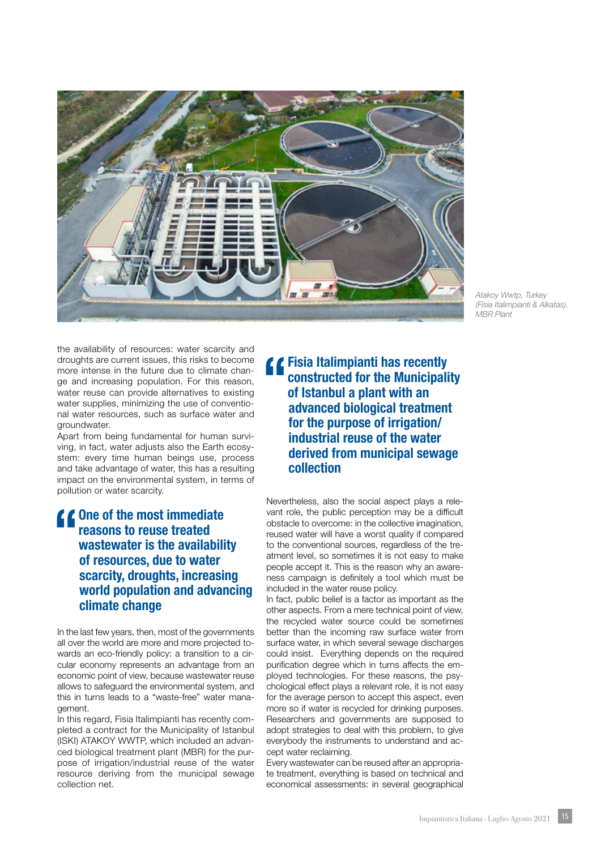

*Atakoy Wwtp, Turkey (Fisia Italimpianti & Alkatas). MBR Plant*

the availability of resources: water scarcity and droughts are current issues, this risks to become more intense in the future due to climate change and increasing population. For this reason, water reuse can provide alternatives to existing water supplies, minimizing the use of conventional water resources, such as surface water and groundwater.

Apart from being fundamental for human surviving, in fact, water adjusts also the Earth ecosystem: every time human beings use, process and take advantage of water, this has a resulting impact on the environmental system, in terms of pollution or water scarcity.

#### **10** One of the most immediate<br>reasons to reuse treated<br>wastewater is the availabili reasons to reuse treated wastewater is the availability of resources, due to water scarcity, droughts, increasing world population and advancing climate change

In the last few years, then, most of the governments all over the world are more and more projected towards an eco-friendly policy: a transition to a circular economy represents an advantage from an economic point of view, because wastewater reuse allows to safeguard the environmental system, and this in turns leads to a "waste-free" water management.

In this regard, Fisia Italimpianti has recently completed a contract for the Municipality of Istanbul (ISKI) ATAKOY WWTP, which included an advanced biological treatment plant (MBR) for the purpose of irrigation/industrial reuse of the water resource deriving from the municipal sewage collection net.

**4 Fisia Italimpianti has recently<br>
constructed for the Municipali<br>
of Islanbul a plant with an<br>
colveneed biologieal treatment** constructed for the Municipality of Istanbul a plant with an advanced biological treatment for the purpose of irrigation/ industrial reuse of the water derived from municipal sewage collection

Nevertheless, also the social aspect plays a relevant role, the public perception may be a difficult obstacle to overcome: in the collective imagination, reused water will have a worst quality if compared to the conventional sources, regardless of the treatment level, so sometimes it is not easy to make people accept it. This is the reason why an awareness campaign is definitely a tool which must be included in the water reuse policy.

In fact, public belief is a factor as important as the other aspects. From a mere technical point of view, the recycled water source could be sometimes better than the incoming raw surface water from surface water, in which several sewage discharges could insist. Everything depends on the required purification degree which in turns affects the employed technologies. For these reasons, the psychological effect plays a relevant role, it is not easy for the average person to accept this aspect, even more so if water is recycled for drinking purposes. Researchers and governments are supposed to adopt strategies to deal with this problem, to give everybody the instruments to understand and accept water reclaiming.

Every wastewater can be reused after an appropriate treatment, everything is based on technical and economical assessments: in several geographical